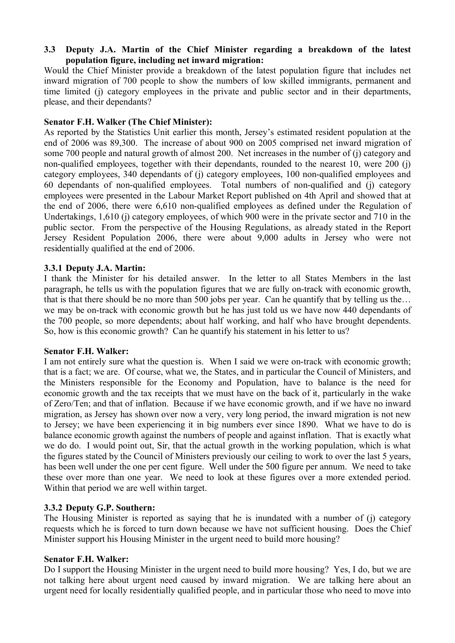### **3.3** � **Deputy J.A. Martin of the Chief Minister regarding a breakdown of the latest population figure, including net inward migration:**

Would the Chief Minister provide a breakdown of the latest population figure that includes net inward migration of 700 people to show the numbers of low skilled immigrants, permanent and time limited (j) category employees in the private and public sector and in their departments, please, and their dependants?

### **Senator F.H. Walker (The Chief Minister):**

As reported by the Statistics Unit earlier this month, Jersey's estimated resident population at the end of 2006 was 89,300. The increase of about 900 on 2005 comprised net inward migration of some 700 people and natural growth of almost 200. Net increases in the number of (j) category and non-qualified employees, together with their dependants, rounded to the nearest 10, were 200 (j) category employees, 340 dependants of (j) category employees, 100 non-qualified employees and 60 dependants of non-qualified employees. Total numbers of non-qualified and (j) category employees were presented in the Labour Market Report published on 4th April and showed that at the end of 2006, there were 6,610 non-qualified employees as defined under the Regulation of Undertakings, 1,610 (j) category employees, of which 900 were in the private sector and 710 in the public sector. From the perspective of the Housing Regulations, as already stated in the Report Jersey Resident Population 2006, there were about 9,000 adults in Jersey who were not residentially qualified at the end of 2006.

# **3.3.1 Deputy J.A. Martin:**

I thank the Minister for his detailed answer. In the letter to all States Members in the last paragraph, he tells us with the population figures that we are fully on-track with economic growth, that is that there should be no more than 500 jobs per year. Can he quantify that by telling us the… we may be on-track with economic growth but he has just told us we have now 440 dependants of the 700 people, so more dependents; about half working, and half who have brought dependents. So, how is this economic growth? Can he quantify his statement in his letter to us?

# **Senator F.H. Walker:**

I am not entirely sure what the question is. When I said we were on-track with economic growth; that is a fact; we are. Of course, what we, the States, and in particular the Council of Ministers, and the Ministers responsible for the Economy and Population, have to balance is the need for economic growth and the tax receipts that we must have on the back of it, particularly in the wake of Zero/Ten; and that of inflation. Because if we have economic growth, and if we have no inward migration, as Jersey has shown over now a very, very long period, the inward migration is not new to Jersey; we have been experiencing it in big numbers ever since 1890. What we have to do is balance economic growth against the numbers of people and against inflation. That is exactly what we do do. I would point out, Sir, that the actual growth in the working population, which is what the figures stated by the Council of Ministers previously our ceiling to work to over the last 5 years, has been well under the one per cent figure. Well under the 500 figure per annum. We need to take these over more than one year. We need to look at these figures over a more extended period. Within that period we are well within target.

# **3.3.2 Deputy G.P. Southern:**

The Housing Minister is reported as saying that he is inundated with a number of (j) category requests which he is forced to turn down because we have not sufficient housing. Does the Chief Minister support his Housing Minister in the urgent need to build more housing?

# **Senator F.H. Walker:**

Do I support the Housing Minister in the urgent need to build more housing? Yes, I do, but we are not talking here about urgent need caused by inward migration. We are talking here about an urgent need for locally residentially qualified people, and in particular those who need to move into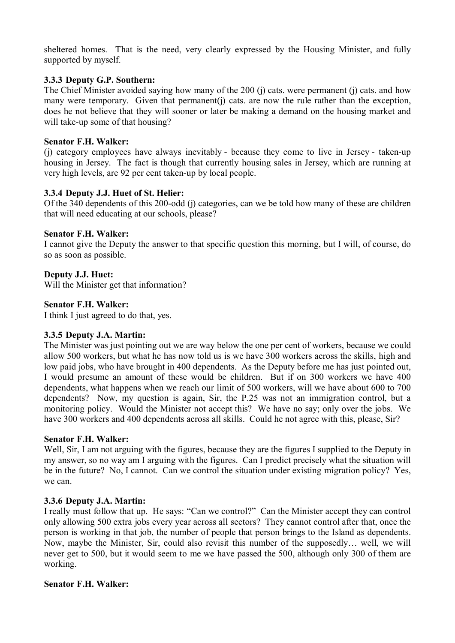sheltered homes. That is the need, very clearly expressed by the Housing Minister, and fully supported by myself.

#### **3.3.3 Deputy G.P. Southern:**

The Chief Minister avoided saying how many of the 200 (j) cats. were permanent (j) cats. and how many were temporary. Given that permanent(j) cats, are now the rule rather than the exception, does he not believe that they will sooner or later be making a demand on the housing market and will take-up some of that housing?

#### **Senator F.H. Walker:**

(j) category employees have always inevitably - because they come to live in Jersey - taken-up housing in Jersey. The fact is though that currently housing sales in Jersey, which are running at very high levels, are 92 per cent taken-up by local people.

# **3.3.4 Deputy J.J. Huet of St. Helier:**

Of the 340 dependents of this 200-odd (j) categories, can we be told how many of these are children that will need educating at our schools, please?

#### **Senator F.H. Walker:**

I cannot give the Deputy the answer to that specific question this morning, but I will, of course, do so as soon as possible.

# **Deputy J.J. Huet:**

Will the Minister get that information?

#### **Senator F.H. Walker:**

I think I just agreed to do that, yes.

# **3.3.5 Deputy J.A. Martin:**

The Minister was just pointing out we are way below the one per cent of workers, because we could allow 500 workers, but what he has now told us is we have 300 workers across the skills, high and low paid jobs, who have brought in 400 dependents. As the Deputy before me has just pointed out, I would presume an amount of these would be children. But if on 300 workers we have 400 dependents, what happens when we reach our limit of 500 workers, will we have about 600 to 700 dependents? Now, my question is again, Sir, the P.25 was not an immigration control, but a monitoring policy. Would the Minister not accept this? We have no say; only over the jobs. We have 300 workers and 400 dependents across all skills. Could he not agree with this, please, Sir?

#### **Senator F.H. Walker:**

Well, Sir, I am not arguing with the figures, because they are the figures I supplied to the Deputy in my answer, so no way am I arguing with the figures. Can I predict precisely what the situation will be in the future? No, I cannot. Can we control the situation under existing migration policy? Yes, we can.

# **3.3.6 Deputy J.A. Martin:**

I really must follow that up. He says: "Can we control?" Can the Minister accept they can control only allowing 500 extra jobs every year across all sectors? They cannot control after that, once the person is working in that job, the number of people that person brings to the Island as dependents. Now, maybe the Minister, Sir, could also revisit this number of the supposedly… well, we will never get to 500, but it would seem to me we have passed the 500, although only 300 of them are working.

#### **Senator F.H. Walker:**